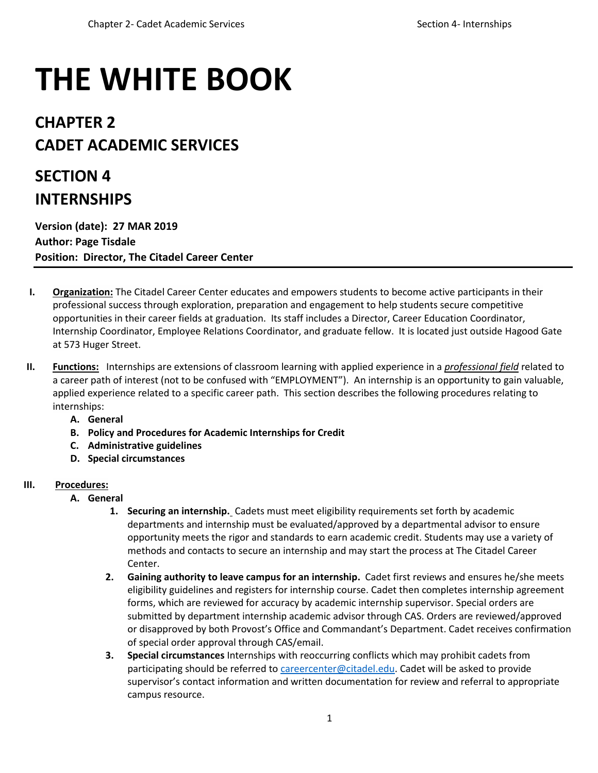# **THE WHITE BOOK**

## **CHAPTER 2 CADET ACADEMIC SERVICES**

# **SECTION 4 INTERNSHIPS**

**Version (date): 27 MAR 2019 Author: Page Tisdale Position: Director, The Citadel Career Center** 

- **I. Organization:** The Citadel Career Center educates and empowers students to become active participants in their professional success through exploration, preparation and engagement to help students secure competitive opportunities in their career fields at graduation. Its staff includes a Director, Career Education Coordinator, Internship Coordinator, Employee Relations Coordinator, and graduate fellow. It is located just outside Hagood Gate at 573 Huger Street.
- **II. Functions:** Internships are extensions of classroom learning with applied experience in a *professional field* related to a career path of interest (not to be confused with "EMPLOYMENT"). An internship is an opportunity to gain valuable, applied experience related to a specific career path. This section describes the following procedures relating to internships:
	- **A. General**
	- **B. Policy and Procedures for Academic Internships for Credit**
	- **C. Administrative guidelines**
	- **D. Special circumstances**

### **III. Procedures:**

- **A. General**
	- **1. Securing an internship.** Cadets must meet eligibility requirements set forth by academic departments and internship must be evaluated/approved by a departmental advisor to ensure opportunity meets the rigor and standards to earn academic credit. Students may use a variety of methods and contacts to secure an internship and may start the process at The Citadel Career Center.
	- **2. Gaining authority to leave campus for an internship.** Cadet first reviews and ensures he/she meets eligibility guidelines and registers for internship course. Cadet then completes internship agreement forms, which are reviewed for accuracy by academic internship supervisor. Special orders are submitted by department internship academic advisor through CAS. Orders are reviewed/approved or disapproved by both Provost's Office and Commandant's Department. Cadet receives confirmation of special order approval through CAS/email.
	- **3. Special circumstances** Internships with reoccurring conflicts which may prohibit cadets from participating should be referred to [careercenter@citadel.edu.](mailto:careercenter@citadel.edu) Cadet will be asked to provide supervisor's contact information and written documentation for review and referral to appropriate campus resource.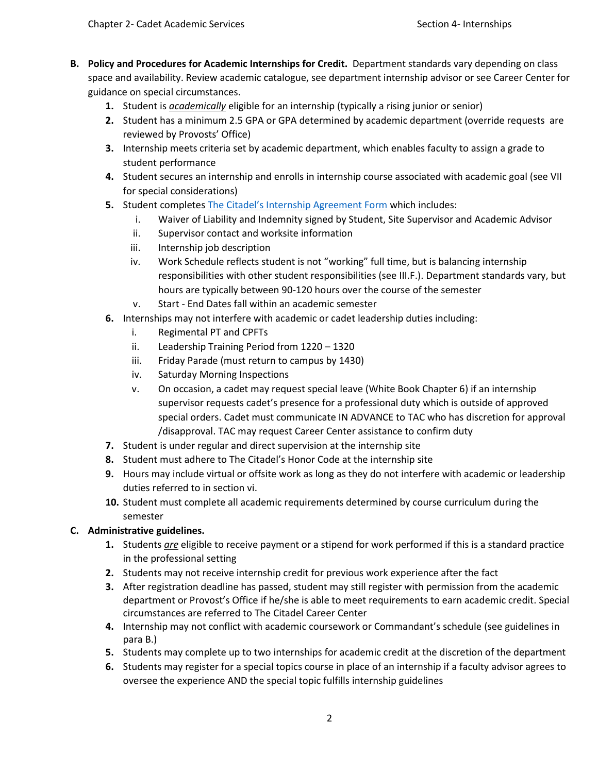- **B. Policy and Procedures for Academic Internships for Credit.** Department standards vary depending on class space and availability. Review academic catalogue, see department internship advisor or see Career Center for guidance on special circumstances.
	- **1.** Student is *academically* eligible for an internship (typically a rising junior or senior)
	- **2.** Student has a minimum 2.5 GPA or GPA determined by academic department (override requests are reviewed by Provosts' Office)
	- **3.** Internship meets criteria set by academic department, which enables faculty to assign a grade to student performance
	- **4.** Student secures an internship and enrolls in internship course associated with academic goal (see VII for special considerations)
	- **5.** Student completes The Citadel's [Internship Agreement Form](file:///C:/Users/tisdalep1/AppData/Local/Microsoft/Windows/INetCache/Content.Outlook/FBZM5Z3W/The%20Campus%20Internship%20Agreement%20Form:) which includes:
		- i. Waiver of Liability and Indemnity signed by Student, Site Supervisor and Academic Advisor
		- ii. Supervisor contact and worksite information
		- iii. Internship job description
		- iv. Work Schedule reflects student is not "working" full time, but is balancing internship responsibilities with other student responsibilities (see III.F.). Department standards vary, but hours are typically between 90-120 hours over the course of the semester
		- v. Start End Dates fall within an academic semester
	- **6.** Internships may not interfere with academic or cadet leadership duties including:
		- i. Regimental PT and CPFTs
		- ii. Leadership Training Period from 1220 1320
		- iii. Friday Parade (must return to campus by 1430)
		- iv. Saturday Morning Inspections
		- v. On occasion, a cadet may request special leave (White Book Chapter 6) if an internship supervisor requests cadet's presence for a professional duty which is outside of approved special orders. Cadet must communicate IN ADVANCE to TAC who has discretion for approval /disapproval. TAC may request Career Center assistance to confirm duty
	- **7.** Student is under regular and direct supervision at the internship site
	- **8.** Student must adhere to The Citadel's Honor Code at the internship site
	- **9.** Hours may include virtual or offsite work as long as they do not interfere with academic or leadership duties referred to in section vi.
	- **10.** Student must complete all academic requirements determined by course curriculum during the semester

#### **C. Administrative guidelines.**

- **1.** Students *are* eligible to receive payment or a stipend for work performed if this is a standard practice in the professional setting
- **2.** Students may not receive internship credit for previous work experience after the fact
- **3.** After registration deadline has passed, student may still register with permission from the academic department or Provost's Office if he/she is able to meet requirements to earn academic credit. Special circumstances are referred to The Citadel Career Center
- **4.** Internship may not conflict with academic coursework or Commandant's schedule (see guidelines in para B.)
- **5.** Students may complete up to two internships for academic credit at the discretion of the department
- **6.** Students may register for a special topics course in place of an internship if a faculty advisor agrees to oversee the experience AND the special topic fulfills internship guidelines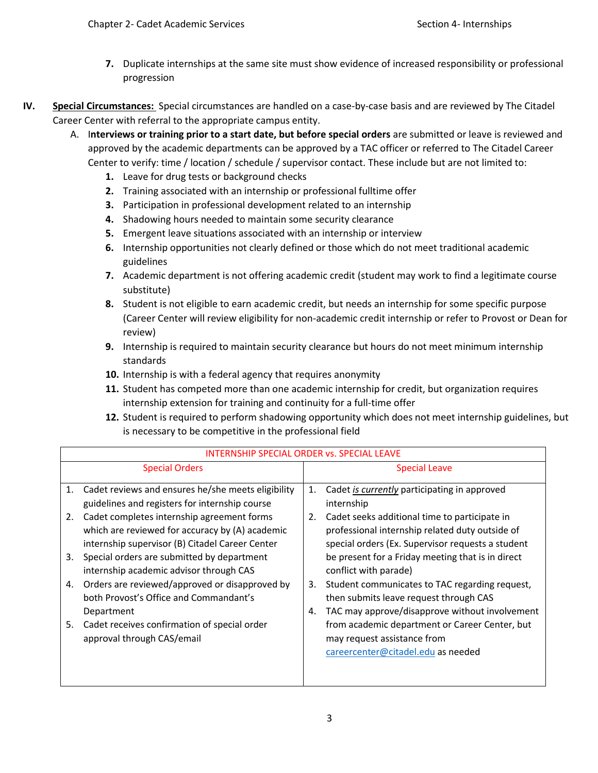- **7.** Duplicate internships at the same site must show evidence of increased responsibility or professional progression
- **IV. Special Circumstances:** Special circumstances are handled on a case-by-case basis and are reviewed by The Citadel Career Center with referral to the appropriate campus entity.
	- A. I**nterviews or training prior to a start date, but before special orders** are submitted or leave is reviewed and approved by the academic departments can be approved by a TAC officer or referred to The Citadel Career Center to verify: time / location / schedule / supervisor contact. These include but are not limited to:
		- **1.** Leave for drug tests or background checks
		- **2.** Training associated with an internship or professional fulltime offer
		- **3.** Participation in professional development related to an internship
		- **4.** Shadowing hours needed to maintain some security clearance
		- **5.** Emergent leave situations associated with an internship or interview
		- **6.** Internship opportunities not clearly defined or those which do not meet traditional academic guidelines
		- **7.** Academic department is not offering academic credit (student may work to find a legitimate course substitute)
		- **8.** Student is not eligible to earn academic credit, but needs an internship for some specific purpose (Career Center will review eligibility for non-academic credit internship or refer to Provost or Dean for review)
		- **9.** Internship is required to maintain security clearance but hours do not meet minimum internship standards
		- **10.** Internship is with a federal agency that requires anonymity
		- **11.** Student has competed more than one academic internship for credit, but organization requires internship extension for training and continuity for a full-time offer
		- **12.** Student is required to perform shadowing opportunity which does not meet internship guidelines, but is necessary to be competitive in the professional field

| <b>INTERNSHIP SPECIAL ORDER vs. SPECIAL LEAVE</b>                                                                                                                                                                                                                                                             |                                                                                                                                                                                                                                                                                                   |
|---------------------------------------------------------------------------------------------------------------------------------------------------------------------------------------------------------------------------------------------------------------------------------------------------------------|---------------------------------------------------------------------------------------------------------------------------------------------------------------------------------------------------------------------------------------------------------------------------------------------------|
| <b>Special Orders</b>                                                                                                                                                                                                                                                                                         | Special Leave                                                                                                                                                                                                                                                                                     |
| Cadet reviews and ensures he/she meets eligibility<br>1.<br>guidelines and registers for internship course                                                                                                                                                                                                    | Cadet is currently participating in approved<br>1.<br>internship                                                                                                                                                                                                                                  |
| Cadet completes internship agreement forms<br>2.<br>which are reviewed for accuracy by (A) academic<br>internship supervisor (B) Citadel Career Center<br>Special orders are submitted by department<br>3.<br>internship academic advisor through CAS<br>Orders are reviewed/approved or disapproved by<br>4. | Cadet seeks additional time to participate in<br>2.<br>professional internship related duty outside of<br>special orders (Ex. Supervisor requests a student<br>be present for a Friday meeting that is in direct<br>conflict with parade)<br>Student communicates to TAC regarding request,<br>3. |
| both Provost's Office and Commandant's<br>Department                                                                                                                                                                                                                                                          | then submits leave request through CAS<br>TAC may approve/disapprove without involvement<br>4.                                                                                                                                                                                                    |
| Cadet receives confirmation of special order<br>5.<br>approval through CAS/email                                                                                                                                                                                                                              | from academic department or Career Center, but<br>may request assistance from<br>careercenter@citadel.edu as needed                                                                                                                                                                               |